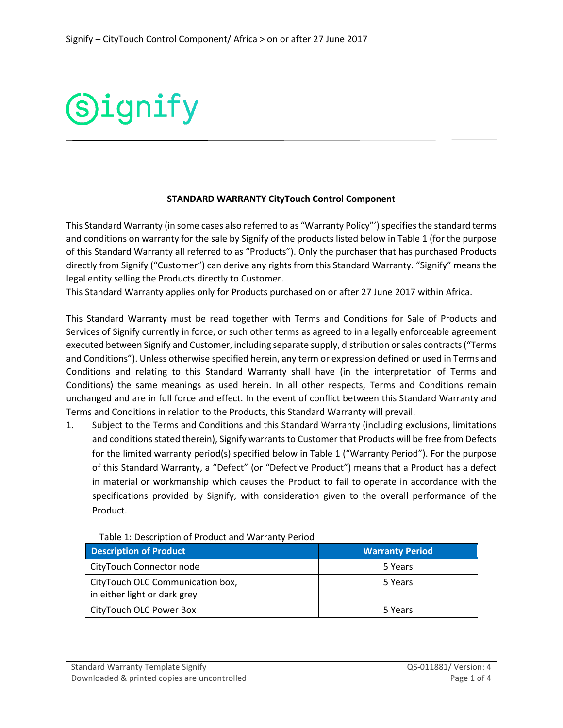## **Signify**

## **STANDARD WARRANTY CityTouch Control Component**

This Standard Warranty (in some cases also referred to as "Warranty Policy"') specifies the standard terms and conditions on warranty for the sale by Signify of the products listed below in Table 1 (for the purpose of this Standard Warranty all referred to as "Products"). Only the purchaser that has purchased Products directly from Signify ("Customer") can derive any rights from this Standard Warranty. "Signify" means the legal entity selling the Products directly to Customer.

This Standard Warranty applies only for Products purchased on or after 27 June 2017 within Africa.

This Standard Warranty must be read together with Terms and Conditions for Sale of Products and Services of Signify currently in force, or such other terms as agreed to in a legally enforceable agreement executed between Signify and Customer, including separate supply, distribution or sales contracts ("Terms and Conditions"). Unless otherwise specified herein, any term or expression defined or used in Terms and Conditions and relating to this Standard Warranty shall have (in the interpretation of Terms and Conditions) the same meanings as used herein. In all other respects, Terms and Conditions remain unchanged and are in full force and effect. In the event of conflict between this Standard Warranty and Terms and Conditions in relation to the Products, this Standard Warranty will prevail.

1. Subject to the Terms and Conditions and this Standard Warranty (including exclusions, limitations and conditions stated therein), Signify warrants to Customer that Products will be free from Defects for the limited warranty period(s) specified below in Table 1 ("Warranty Period"). For the purpose of this Standard Warranty, a "Defect" (or "Defective Product") means that a Product has a defect in material or workmanship which causes the Product to fail to operate in accordance with the specifications provided by Signify, with consideration given to the overall performance of the Product.

| <b>Description of Product</b>                                    | <b>Warranty Period</b> |
|------------------------------------------------------------------|------------------------|
| CityTouch Connector node                                         | 5 Years                |
| CityTouch OLC Communication box,<br>in either light or dark grey | 5 Years                |
| CityTouch OLC Power Box                                          | 5 Years                |

Table 1: Description of Product and Warranty Period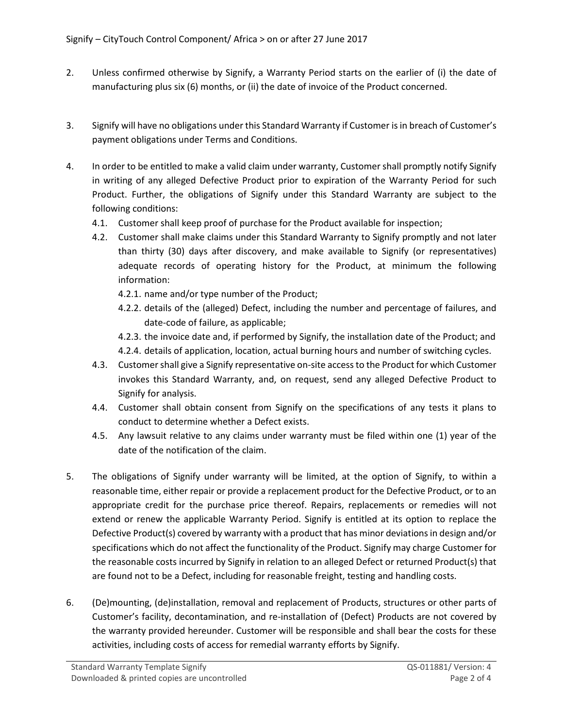- 2. Unless confirmed otherwise by Signify, a Warranty Period starts on the earlier of (i) the date of manufacturing plus six (6) months, or (ii) the date of invoice of the Product concerned.
- 3. Signify will have no obligations under this Standard Warranty if Customer is in breach of Customer's payment obligations under Terms and Conditions.
- 4. In order to be entitled to make a valid claim under warranty, Customer shall promptly notify Signify in writing of any alleged Defective Product prior to expiration of the Warranty Period for such Product. Further, the obligations of Signify under this Standard Warranty are subject to the following conditions:
	- 4.1. Customer shall keep proof of purchase for the Product available for inspection;
	- 4.2. Customer shall make claims under this Standard Warranty to Signify promptly and not later than thirty (30) days after discovery, and make available to Signify (or representatives) adequate records of operating history for the Product, at minimum the following information:
		- 4.2.1. name and/or type number of the Product;
		- 4.2.2. details of the (alleged) Defect, including the number and percentage of failures, and date-code of failure, as applicable;
		- 4.2.3. the invoice date and, if performed by Signify, the installation date of the Product; and 4.2.4. details of application, location, actual burning hours and number of switching cycles.
	- 4.3. Customer shall give a Signify representative on-site access to the Product for which Customer invokes this Standard Warranty, and, on request, send any alleged Defective Product to Signify for analysis.
	- 4.4. Customer shall obtain consent from Signify on the specifications of any tests it plans to conduct to determine whether a Defect exists.
	- 4.5. Any lawsuit relative to any claims under warranty must be filed within one (1) year of the date of the notification of the claim.
- 5. The obligations of Signify under warranty will be limited, at the option of Signify, to within a reasonable time, either repair or provide a replacement product for the Defective Product, or to an appropriate credit for the purchase price thereof. Repairs, replacements or remedies will not extend or renew the applicable Warranty Period. Signify is entitled at its option to replace the Defective Product(s) covered by warranty with a product that has minor deviations in design and/or specifications which do not affect the functionality of the Product. Signify may charge Customer for the reasonable costs incurred by Signify in relation to an alleged Defect or returned Product(s) that are found not to be a Defect, including for reasonable freight, testing and handling costs.
- 6. (De)mounting, (de)installation, removal and replacement of Products, structures or other parts of Customer's facility, decontamination, and re-installation of (Defect) Products are not covered by the warranty provided hereunder. Customer will be responsible and shall bear the costs for these activities, including costs of access for remedial warranty efforts by Signify.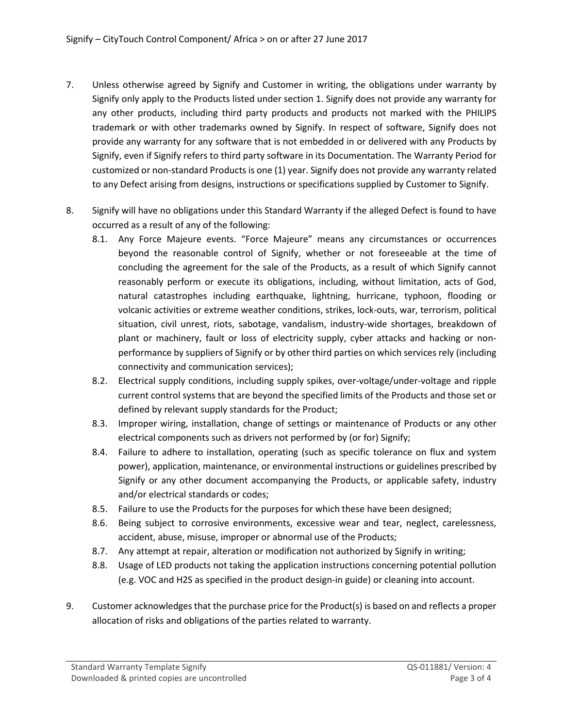- 7. Unless otherwise agreed by Signify and Customer in writing, the obligations under warranty by Signify only apply to the Products listed under section 1. Signify does not provide any warranty for any other products, including third party products and products not marked with the PHILIPS trademark or with other trademarks owned by Signify. In respect of software, Signify does not provide any warranty for any software that is not embedded in or delivered with any Products by Signify, even if Signify refers to third party software in its Documentation. The Warranty Period for customized or non-standard Products is one (1) year. Signify does not provide any warranty related to any Defect arising from designs, instructions or specifications supplied by Customer to Signify.
- 8. Signify will have no obligations under this Standard Warranty if the alleged Defect is found to have occurred as a result of any of the following:
	- 8.1. Any Force Majeure events. "Force Majeure" means any circumstances or occurrences beyond the reasonable control of Signify, whether or not foreseeable at the time of concluding the agreement for the sale of the Products, as a result of which Signify cannot reasonably perform or execute its obligations, including, without limitation, acts of God, natural catastrophes including earthquake, lightning, hurricane, typhoon, flooding or volcanic activities or extreme weather conditions, strikes, lock-outs, war, terrorism, political situation, civil unrest, riots, sabotage, vandalism, industry-wide shortages, breakdown of plant or machinery, fault or loss of electricity supply, cyber attacks and hacking or nonperformance by suppliers of Signify or by other third parties on which services rely (including connectivity and communication services);
	- 8.2. Electrical supply conditions, including supply spikes, over-voltage/under-voltage and ripple current control systems that are beyond the specified limits of the Products and those set or defined by relevant supply standards for the Product;
	- 8.3. Improper wiring, installation, change of settings or maintenance of Products or any other electrical components such as drivers not performed by (or for) Signify;
	- 8.4. Failure to adhere to installation, operating (such as specific tolerance on flux and system power), application, maintenance, or environmental instructions or guidelines prescribed by Signify or any other document accompanying the Products, or applicable safety, industry and/or electrical standards or codes;
	- 8.5. Failure to use the Products for the purposes for which these have been designed;
	- 8.6. Being subject to corrosive environments, excessive wear and tear, neglect, carelessness, accident, abuse, misuse, improper or abnormal use of the Products;
	- 8.7. Any attempt at repair, alteration or modification not authorized by Signify in writing;
	- 8.8. Usage of LED products not taking the application instructions concerning potential pollution (e.g. VOC and H2S as specified in the product design-in guide) or cleaning into account.
- 9. Customer acknowledges that the purchase price for the Product(s) is based on and reflects a proper allocation of risks and obligations of the parties related to warranty.